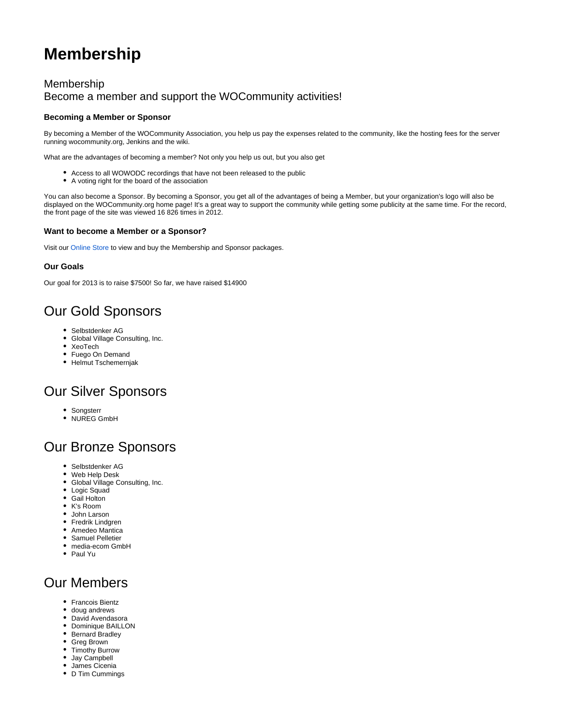# **Membership**

### Membership Become a member and support the WOCommunity activities!

#### **Becoming a Member or Sponsor**

By becoming a Member of the WOCommunity Association, you help us pay the expenses related to the community, like the hosting fees for the server running wocommunity.org, Jenkins and the wiki.

What are the advantages of becoming a member? Not only you help us out, but you also get

- Access to all WOWODC recordings that have not been released to the public
- A voting right for the board of the association

You can also become a Sponsor. By becoming a Sponsor, you get all of the advantages of being a Member, but your organization's logo will also be displayed on the WOCommunity.org home page! It's a great way to support the community while getting some publicity at the same time. For the record, the front page of the site was viewed 16 826 times in 2012.

#### **Want to become a Member or a Sponsor?**

Visit our [Online Store](http://store.wocommunity.org/products/membership) to view and buy the Membership and Sponsor packages.

#### **Our Goals**

Our goal for 2013 is to raise \$7500! So far, we have raised \$14900

### Our Gold Sponsors

- Selbstdenker AG
- Global Village Consulting, Inc.
- XeoTech
- Fuego On Demand
- Helmut Tschemernjak

### Our Silver Sponsors

- Songsterr
- NUREG GmbH

### Our Bronze Sponsors

- Selbstdenker AG
- Web Help Desk
- Global Village Consulting, Inc.
- Logic Squad
- Gail Holton
- K's Room
- John Larson • Fredrik Lindgren
- Amedeo Mantica
- Samuel Pelletier
- media-ecom GmbH
- Paul Yu

## Our Members

- Francois Bientz
- doug andrews
- David Avendasora
- Dominique BAILLON
- Bernard Bradley
- Greg Brown
- Timothy Burrow Jay Campbell
- James Cicenia
- D Tim Cummings